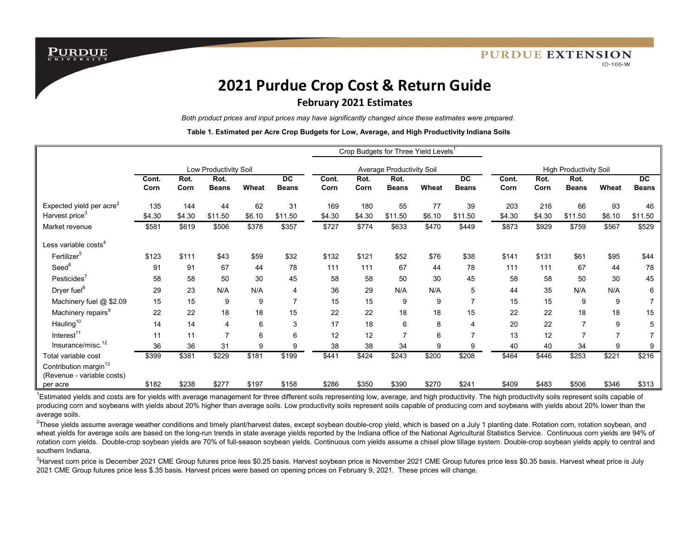**PURDUE** 

# **2021 Purdue Crop Cost & Return Guide**

## **February 2021 Estimates**

*Both product prices and input prices may have significantly changed since these estimates were prepared.*

**Table 1. Estimated per Acre Crop Budgets for Low, Average, and High Productivity Indiana Soils**

|                                                                 |                       |              |                      |        |                           | Crop Budgets for Three Yield Levels <sup>1</sup> |              |                      |        |                           |                               |              |                      |                |                           |
|-----------------------------------------------------------------|-----------------------|--------------|----------------------|--------|---------------------------|--------------------------------------------------|--------------|----------------------|--------|---------------------------|-------------------------------|--------------|----------------------|----------------|---------------------------|
|                                                                 | Low Productivity Soil |              |                      |        |                           | Average Productivity Soil                        |              |                      |        |                           | <b>High Productivity Soil</b> |              |                      |                |                           |
|                                                                 | Cont.<br>Corn         | Rot.<br>Corn | Rot.<br><b>Beans</b> | Wheat  | <b>DC</b><br><b>Beans</b> | Cont.<br>Corn                                    | Rot.<br>Corn | Rot.<br><b>Beans</b> | Wheat  | <b>DC</b><br><b>Beans</b> | Cont.<br>Corn                 | Rot.<br>Corn | Rot.<br><b>Beans</b> | Wheat          | <b>DC</b><br><b>Beans</b> |
| Expected yield per acre <sup>2</sup>                            | 135                   | 144          | 44                   | 62     | 31                        | 169                                              | 180          | 55                   | 77     | 39                        | 203                           | 216          | 66                   | 93             | 46                        |
| Harvest price <sup>3</sup>                                      | \$4.30                | \$4.30       | \$11.50              | \$6.10 | \$11.50                   | \$4.30                                           | \$4.30       | \$11.50              | \$6.10 | \$11.50                   | \$4.30                        | \$4.30       | \$11.50              | \$6.10         | \$11.50                   |
| Market revenue                                                  | \$581                 | \$619        | \$506                | \$378  | \$357                     | \$727                                            | \$774        | \$633                | \$470  | \$449                     | \$873                         | \$929        | \$759                | \$567          | \$529                     |
| Less variable $\mathrm{costs}^4$                                |                       |              |                      |        |                           |                                                  |              |                      |        |                           |                               |              |                      |                |                           |
| Fertilizer <sup>5</sup>                                         | \$123                 | \$111        | \$43                 | \$59   | \$32                      | \$132                                            | \$121        | \$52                 | \$76   | \$38                      | \$141                         | \$131        | \$61                 | \$95           | \$44                      |
| Seed <sup>6</sup>                                               | 91                    | 91           | 67                   | 44     | 78                        | 111                                              | 111          | 67                   | 44     | 78                        | 111                           | 111          | 67                   | 44             | 78                        |
| Pesticides <sup>7</sup>                                         | 58                    | 58           | 50                   | 30     | 45                        | 58                                               | 58           | 50                   | 30     | 45                        | 58                            | 58           | 50                   | 30             | 45                        |
| Dryer fuel <sup>8</sup>                                         | 29                    | 23           | N/A                  | N/A    | 4                         | 36                                               | 29           | N/A                  | N/A    | 5                         | 44                            | 35           | N/A                  | N/A            | 6                         |
| Machinery fuel @ \$2.09                                         | 15                    | 15           | 9                    | 9      |                           | 15                                               | 15           | 9                    | 9      | $\overline{7}$            | 15                            | 15           | 9                    | 9              |                           |
| Machinery repairs <sup>9</sup>                                  | 22                    | 22           | 18                   | 18     | 15                        | 22                                               | 22           | 18                   | 18     | 15                        | 22                            | 22           | 18                   | 18             | 15                        |
| Hauling <sup>10</sup>                                           | 14                    | 14           | 4                    | 6      | 3                         | 17                                               | 18           | 6                    | 8      | 4                         | 20                            | 22           | $\overline{7}$       | 9              | 5                         |
| Interest <sup>11</sup>                                          | 11                    | 11           | $\overline{7}$       | 6      | 6                         | 12                                               | 12           | $\overline{7}$       | 6      | $\overline{7}$            | 13                            | 12           | $\overline{7}$       | $\overline{7}$ |                           |
| Insurance/misc. <sup>12</sup>                                   | 36                    | 36           | 31                   | 9      | 9                         | 38                                               | 38           | 34                   | 9      | 9                         | 40                            | 40           | 34                   | 9              | 9                         |
| Total variable cost                                             | \$399                 | \$381        | \$229                | \$181  | \$199                     | \$441                                            | \$424        | \$243                | \$200  | \$208                     | \$464                         | \$446        | \$253                | \$221          | \$216                     |
| Contribution margin <sup>13</sup><br>(Revenue - variable costs) |                       |              |                      |        |                           |                                                  |              |                      |        |                           |                               |              |                      |                |                           |
| per acre                                                        | \$182                 | \$238        | \$277                | \$197  | \$158                     | \$286                                            | \$350        | \$390                | \$270  | \$241                     | \$409                         | \$483        | \$506                | \$346          | \$313                     |

<sup>1</sup>Estimated yields and costs are for yields with average management for three different soils representing low, average, and high productivity. The high productivity soils represent soils capable of producing corn and soybeans with yields about 20% higher than average soils. Low productivity soils represent soils capable of producing corn and soybeans with yields about 20% lower than the average soils.

<sup>2</sup>These yields assume average weather conditions and timely plant/harvest dates, except soybean double-crop yield, which is based on a July 1 planting date. Rotation corn, rotation soybean, and wheat yields for average soils are based on the long-run trends in state average yields reported by the Indiana office of the National Agricultural Statistics Service. Continuous corn yields are 94% of rotation corn yields. Double-crop soybean yields are 70% of full-season soybean yields. Continuous corn yields assume a chisel plow tillage system. Double-crop soybean yields apply to central and southern Indiana.

<sup>3</sup>Harvest corn price is December 2021 CME Group futures price less \$0.25 basis. Harvest soybean price is November 2021 CME Group futures price less \$0.35 basis. Harvest wheat price is July 2021 CME Group futures price less \$.35 basis. Harvest prices were based on opening prices on February 9, 2021. These prices will change.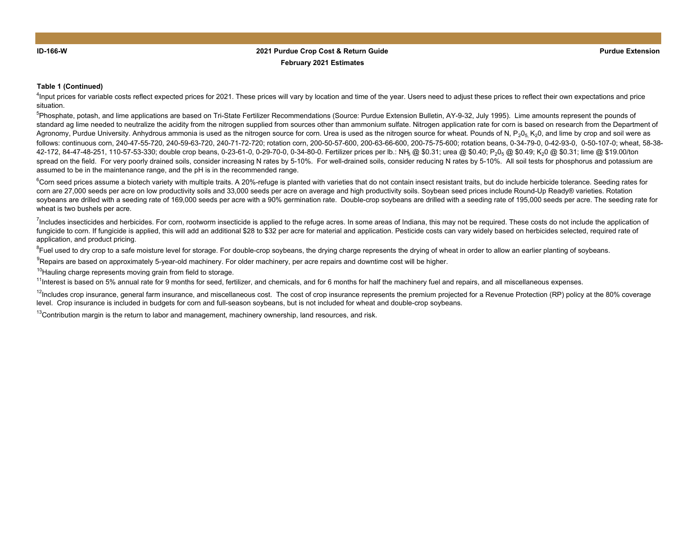### **Purdue Extension 2021 Purdue Crop Cost & Return Guide February 2021 Estimates**

#### **Table 1 (Continued)**

<sup>4</sup>Input prices for variable costs reflect expected prices for 2021. These prices will vary by location and time of the year. Users need to adjust these prices to reflect their own expectations and price situation.

<sup>5</sup>Phosphate. potash. and lime applications are based on Tri-State Fertilizer Recommendations (Source: Purdue Extension Bulletin, AY-9-32, July 1995). Lime amounts represent the pounds of standard ag lime needed to neutralize the acidity from the nitrogen supplied from sources other than ammonium sulfate. Nitrogen application rate for corn is based on research from the Department of Agronomy, Purdue University. Anhydrous ammonia is used as the nitrogen source for corn. Urea is used as the nitrogen source for wheat. Pounds of N,  $P_2O_5$  K<sub>2</sub>0, and lime by crop and soil were as follows: continuous corn, 240-47-55-720, 240-59-63-720, 240-71-72-720; rotation corn, 200-50-57-600, 200-63-66-600, 200-75-75-600; rotation beans, 0-34-79-0, 0-42-93-0, 0-50-107-0; wheat, 58-38- 42-172, 84-47-48-251, 110-57-53-330; double crop beans, 0-23-61-0, 0-29-70-0, 0-34-80-0. Fertilizer prices per lb.: NH<sub>3</sub> @ \$0.31; urea @ \$0.40; P<sub>2</sub>0<sub>5</sub> @ \$0.49; K<sub>2</sub>0 @ \$0.31; lime @ \$19.00/ton spread on the field. For very poorly drained soils, consider increasing N rates by 5-10%. For well-drained soils, consider reducing N rates by 5-10%. All soil tests for phosphorus and potassium are assumed to be in the maintenance range, and the pH is in the recommended range.

 ${}^6$ Corn seed prices assume a biotech variety with multiple traits. A 20%-refuge is planted with varieties that do not contain insect resistant traits, but do include herbicide tolerance. Seeding rates for corn are 27,000 seeds per acre on low productivity soils and 33,000 seeds per acre on average and high productivity soils. Soybean seed prices include Round-Up Ready® varieties. Rotation soybeans are drilled with a seeding rate of 169,000 seeds per acre with a 90% germination rate. Double-crop soybeans are drilled with a seeding rate of 195,000 seeds per acre. The seeding rate for wheat is two bushels per acre.

<sup>7</sup>Includes insecticides and herbicides. For corn, rootworm insecticide is applied to the refuge acres. In some areas of Indiana, this may not be required. These costs do not include the application of fungicide to corn. If fungicide is applied, this will add an additional \$28 to \$32 per acre for material and application. Pesticide costs can vary widely based on herbicides selected, required rate of application, and product pricing.

<sup>8</sup>Fuel used to dry crop to a safe moisture level for storage. For double-crop soybeans, the drying charge represents the drying of wheat in order to allow an earlier planting of soybeans.

<sup>9</sup>Repairs are based on approximately 5-year-old machinery. For older machinery, per acre repairs and downtime cost will be higher.

 $10$ Hauling charge represents moving grain from field to storage.

<sup>11</sup>Interest is based on 5% annual rate for 9 months for seed, fertilizer, and chemicals, and for 6 months for half the machinery fuel and repairs, and all miscellaneous expenses.

 $12$ Includes crop insurance, general farm insurance, and miscellaneous cost. The cost of crop insurance represents the premium projected for a Revenue Protection (RP) policy at the 80% coverage level. Crop insurance is included in budgets for corn and full-season soybeans, but is not included for wheat and double-crop soybeans.

 $13$ Contribution margin is the return to labor and management, machinery ownership, land resources, and risk.